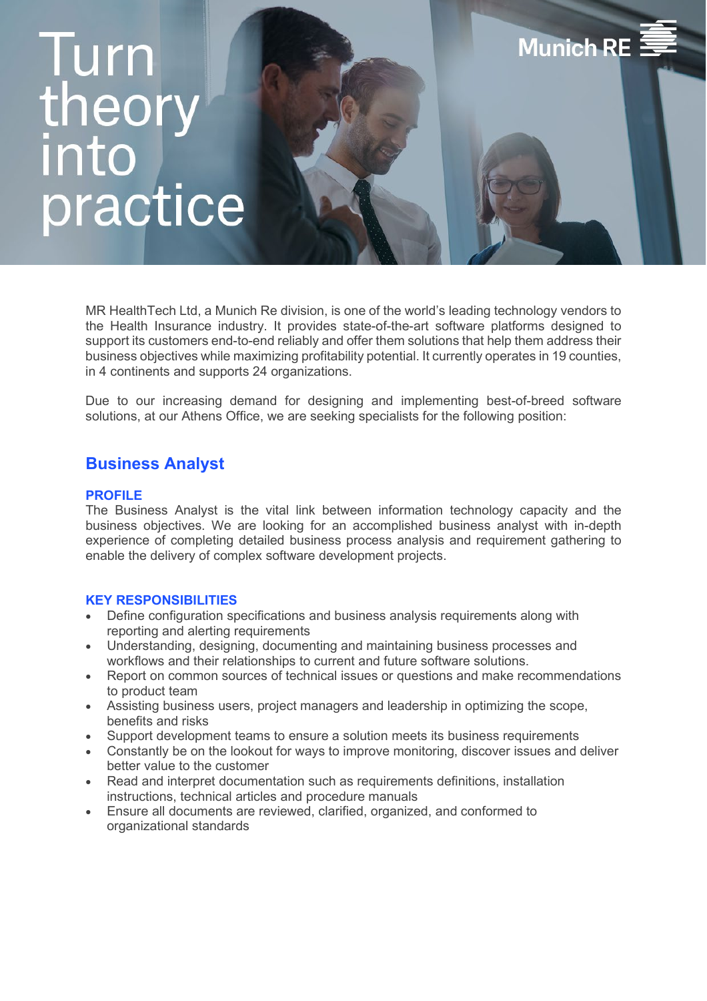# **lurn** theor<br>into practice

MR HealthTech Ltd, a Munich Re division, is one of the world's leading technology vendors to the Health Insurance industry. It provides state-of-the-art software platforms designed to support its customers end-to-end reliably and offer them solutions that help them address their business objectives while maximizing profitability potential. It currently operates in 19 counties, in 4 continents and supports 24 organizations.

**Munich RE** 

Due to our increasing demand for designing and implementing best-of-breed software solutions, at our Athens Office, we are seeking specialists for the following position:

# **Business Analyst**

## **PROFILE**

The Business Analyst is the vital link between information technology capacity and the business objectives. We are looking for an accomplished business analyst with in-depth experience of completing detailed business process analysis and requirement gathering to enable the delivery of complex software development projects.

#### **KEY RESPONSIBILITIES**

- Define configuration specifications and business analysis requirements along with reporting and alerting requirements
- Understanding, designing, documenting and maintaining business processes and workflows and their relationships to current and future software solutions.
- Report on common sources of technical issues or questions and make recommendations to product team
- Assisting business users, project managers and leadership in optimizing the scope, benefits and risks
- Support development teams to ensure a solution meets its business requirements
- Constantly be on the lookout for ways to improve monitoring, discover issues and deliver better value to the customer
- Read and interpret documentation such as requirements definitions, installation instructions, technical articles and procedure manuals
- Ensure all documents are reviewed, clarified, organized, and conformed to organizational standards